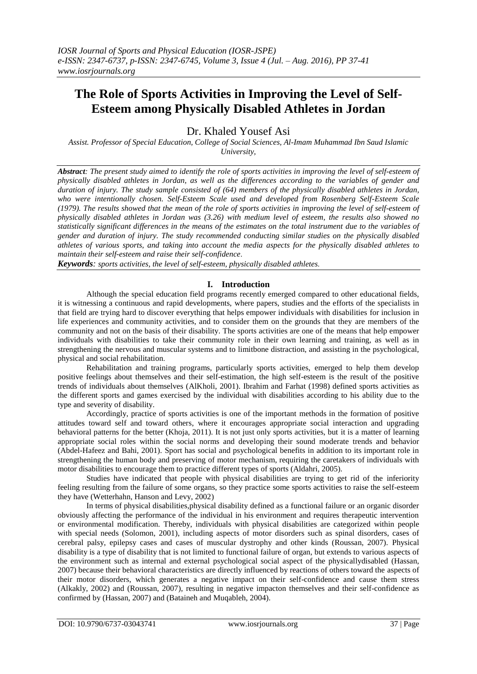# **The Role of Sports Activities in Improving the Level of Self-Esteem among Physically Disabled Athletes in Jordan**

Dr. Khaled Yousef Asi

*Assist. Professor of Special Education, College of Social Sciences, Al-Imam Muhammad Ibn Saud Islamic University,*

*Abstract: The present study aimed to identify the role of sports activities in improving the level of self-esteem of physically disabled athletes in Jordan, as well as the differences according to the variables of gender and duration of injury. The study sample consisted of (64) members of the physically disabled athletes in Jordan, who were intentionally chosen. Self-Esteem Scale used and developed from Rosenberg Self-Esteem Scale (1979). The results showed that the mean of the role of sports activities in improving the level of self-esteem of physically disabled athletes in Jordan was (3.26) with medium level of esteem, the results also showed no statistically significant differences in the means of the estimates on the total instrument due to the variables of gender and duration of injury. The study recommended conducting similar studies on the physically disabled athletes of various sports, and taking into account the media aspects for the physically disabled athletes to maintain their self-esteem and raise their self-confidence*.

*Keywords: sports activities, the level of self-esteem, physically disabled athletes*.

# **I. Introduction**

Although the special education field programs recently emerged compared to other educational fields, it is witnessing a continuous and rapid developments, where papers, studies and the efforts of the specialists in that field are trying hard to discover everything that helps empower individuals with disabilities for inclusion in life experiences and community activities, and to consider them on the grounds that they are members of the community and not on the basis of their disability. The sports activities are one of the means that help empower individuals with disabilities to take their community role in their own learning and training, as well as in strengthening the nervous and muscular systems and to limitbone distraction, and assisting in the psychological, physical and social rehabilitation.

Rehabilitation and training programs, particularly sports activities, emerged to help them develop positive feelings about themselves and their self-estimation, the high self-esteem is the result of the positive trends of individuals about themselves (AlKholi, 2001). Ibrahim and Farhat (1998) defined sports activities as the different sports and games exercised by the individual with disabilities according to his ability due to the type and severity of disability.

Accordingly, practice of sports activities is one of the important methods in the formation of positive attitudes toward self and toward others, where it encourages appropriate social interaction and upgrading behavioral patterns for the better (Khoja, 2011). It is not just only sports activities, but it is a matter of learning appropriate social roles within the social norms and developing their sound moderate trends and behavior (Abdel-Hafeez and Bahi, 2001). Sport has social and psychological benefits in addition to its important role in strengthening the human body and preserving of motor mechanism, requiring the caretakers of individuals with motor disabilities to encourage them to practice different types of sports (Aldahri, 2005).

Studies have indicated that people with physical disabilities are trying to get rid of the inferiority feeling resulting from the failure of some organs, so they practice some sports activities to raise the self-esteem they have (Wetterhahn, Hanson and Levy, 2002)

In terms of physical disabilities,physical disability defined as a functional failure or an organic disorder obviously affecting the performance of the individual in his environment and requires therapeutic intervention or environmental modification. Thereby, individuals with physical disabilities are categorized within people with special needs (Solomon, 2001), including aspects of motor disorders such as spinal disorders, cases of cerebral palsy, epilepsy cases and cases of muscular dystrophy and other kinds (Roussan, 2007). Physical disability is a type of disability that is not limited to functional failure of organ, but extends to various aspects of the environment such as internal and external psychological social aspect of the physicallydisabled (Hassan, 2007) because their behavioral characteristics are directly influenced by reactions of others toward the aspects of their motor disorders, which generates a negative impact on their self-confidence and cause them stress (Alkakly, 2002) and (Roussan, 2007), resulting in negative impacton themselves and their self-confidence as confirmed by (Hassan, 2007) and (Bataineh and Muqableh, 2004).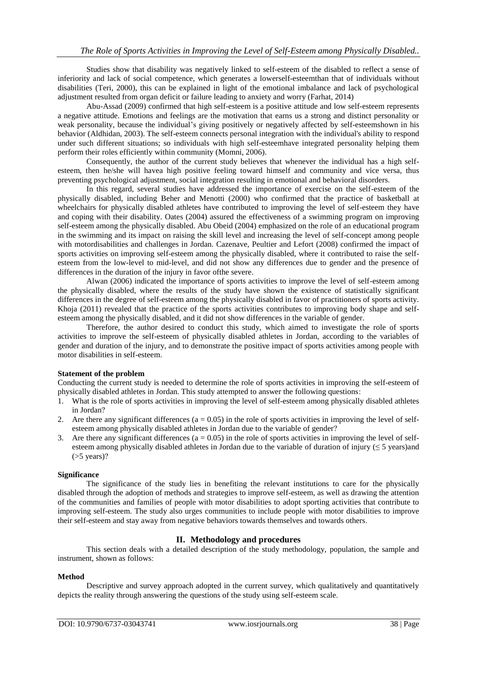Studies show that disability was negatively linked to self-esteem of the disabled to reflect a sense of inferiority and lack of social competence, which generates a lowerself-esteemthan that of individuals without disabilities (Teri, 2000), this can be explained in light of the emotional imbalance and lack of psychological adjustment resulted from organ deficit or failure leading to anxiety and worry (Farhat, 2014)

Abu-Assad (2009) confirmed that high self-esteem is a positive attitude and low self-esteem represents a negative attitude. Emotions and feelings are the motivation that earns us a strong and distinct personality or weak personality, because the individual's giving positively or negatively affected by self-esteemshown in his behavior (Aldhidan, 2003). The self-esteem connects personal integration with the individual's ability to respond under such different situations; so individuals with high self-esteemhave integrated personality helping them perform their roles efficiently within community (Momni, 2006).

Consequently, the author of the current study believes that whenever the individual has a high selfesteem, then he/she will havea high positive feeling toward himself and community and vice versa, thus preventing psychological adjustment, social integration resulting in emotional and behavioral disorders.

In this regard, several studies have addressed the importance of exercise on the self-esteem of the physically disabled, including Beher and Menotti (2000) who confirmed that the practice of basketball at wheelchairs for physically disabled athletes have contributed to improving the level of self-esteem they have and coping with their disability. Oates (2004) assured the effectiveness of a swimming program on improving self-esteem among the physically disabled. Abu Obeid (2004) emphasized on the role of an educational program in the swimming and its impact on raising the skill level and increasing the level of self-concept among people with motordisabilities and challenges in Jordan. Cazenave, Peultier and Lefort (2008) confirmed the impact of sports activities on improving self-esteem among the physically disabled, where it contributed to raise the selfesteem from the low-level to mid-level, and did not show any differences due to gender and the presence of differences in the duration of the injury in favor ofthe severe.

Alwan (2006) indicated the importance of sports activities to improve the level of self-esteem among the physically disabled, where the results of the study have shown the existence of statistically significant differences in the degree of self-esteem among the physically disabled in favor of practitioners of sports activity. Khoja (2011) revealed that the practice of the sports activities contributes to improving body shape and selfesteem among the physically disabled, and it did not show differences in the variable of gender.

Therefore, the author desired to conduct this study, which aimed to investigate the role of sports activities to improve the self-esteem of physically disabled athletes in Jordan, according to the variables of gender and duration of the injury, and to demonstrate the positive impact of sports activities among people with motor disabilities in self-esteem.

### **Statement of the problem**

Conducting the current study is needed to determine the role of sports activities in improving the self-esteem of physically disabled athletes in Jordan. This study attempted to answer the following questions:

- 1. What is the role of sports activities in improving the level of self-esteem among physically disabled athletes in Jordan?
- 2. Are there any significant differences  $(a = 0.05)$  in the role of sports activities in improving the level of selfesteem among physically disabled athletes in Jordan due to the variable of gender?
- 3. Are there any significant differences ( $a = 0.05$ ) in the role of sports activities in improving the level of selfesteem among physically disabled athletes in Jordan due to the variable of duration of injury ( $\leq$  5 years)and  $($ >5 years)?

### **Significance**

The significance of the study lies in benefiting the relevant institutions to care for the physically disabled through the adoption of methods and strategies to improve self-esteem, as well as drawing the attention of the communities and families of people with motor disabilities to adopt sporting activities that contribute to improving self-esteem. The study also urges communities to include people with motor disabilities to improve their self-esteem and stay away from negative behaviors towards themselves and towards others.

# **II. Methodology and procedures**

This section deals with a detailed description of the study methodology, population, the sample and instrument, shown as follows:

### **Method**

Descriptive and survey approach adopted in the current survey, which qualitatively and quantitatively depicts the reality through answering the questions of the study using self-esteem scale.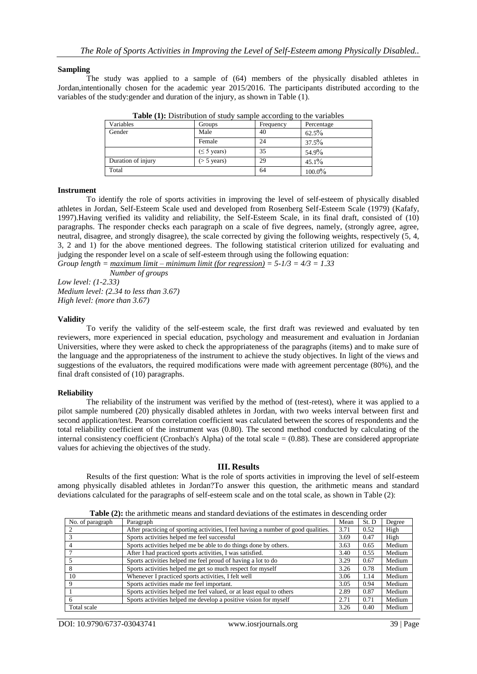### **Sampling**

The study was applied to a sample of (64) members of the physically disabled athletes in Jordan,intentionally chosen for the academic year 2015/2016. The participants distributed according to the variables of the study:gender and duration of the injury, as shown in Table (1).

| Variables          | Groups           | Frequency | Percentage |
|--------------------|------------------|-----------|------------|
| Gender             | Male             | 40        | $62.5\%$   |
|                    | Female           | 24        | $37.5\%$   |
|                    | $(\leq 5$ years) | 35        | 54.9%      |
| Duration of injury | $($ > 5 years)   | 29        | $45.1\%$   |
| Total              |                  | 64        | $100.0\%$  |

**Table (1):** Distribution of study sample according to the variables

### **Instrument**

To identify the role of sports activities in improving the level of self-esteem of physically disabled athletes in Jordan, Self-Esteem Scale used and developed from Rosenberg Self-Esteem Scale (1979) (Kafafy, 1997).Having verified its validity and reliability, the Self-Esteem Scale, in its final draft, consisted of (10) paragraphs. The responder checks each paragraph on a scale of five degrees, namely, (strongly agree, agree, neutral, disagree, and strongly disagree), the scale corrected by giving the following weights, respectively (5, 4, 3, 2 and 1) for the above mentioned degrees. The following statistical criterion utilized for evaluating and judging the responder level on a scale of self-esteem through using the following equation: *Group length = <u>maximum limit – minimum limit (for regression)</u> =*  $5 - 1/3 = 4/3 = 1.33$ 

*Number of groups Low level: (1-2.33) Medium level: (2.34 to less than 3.67)*

*High level: (more than 3.67)*

### **Validity**

To verify the validity of the self-esteem scale, the first draft was reviewed and evaluated by ten reviewers, more experienced in special education, psychology and measurement and evaluation in Jordanian Universities, where they were asked to check the appropriateness of the paragraphs (items) and to make sure of the language and the appropriateness of the instrument to achieve the study objectives. In light of the views and suggestions of the evaluators, the required modifications were made with agreement percentage (80%), and the final draft consisted of (10) paragraphs.

### **Reliability**

The reliability of the instrument was verified by the method of (test-retest), where it was applied to a pilot sample numbered (20) physically disabled athletes in Jordan, with two weeks interval between first and second application/test. Pearson correlation coefficient was calculated between the scores of respondents and the total reliability coefficient of the instrument was (0.80). The second method conducted by calculating of the internal consistency coefficient (Cronbach's Alpha) of the total scale  $= (0.88)$ . These are considered appropriate values for achieving the objectives of the study.

#### **III. Results**

Results of the first question: What is the role of sports activities in improving the level of self-esteem among physically disabled athletes in Jordan?To answer this question, the arithmetic means and standard deviations calculated for the paragraphs of self-esteem scale and on the total scale, as shown in Table (2):

**Table (2):** the arithmetic means and standard deviations of the estimates in descending order

| <b>Table (2).</b> The affilition ineally and standard deviations of the estimates in descending order |                                                                                    |      |       |        |  |  |  |  |
|-------------------------------------------------------------------------------------------------------|------------------------------------------------------------------------------------|------|-------|--------|--|--|--|--|
| No. of paragraph                                                                                      | Paragraph                                                                          | Mean | St. D | Degree |  |  |  |  |
|                                                                                                       | After practicing of sporting activities, I feel having a number of good qualities. | 3.71 | 0.52  | High   |  |  |  |  |
|                                                                                                       | Sports activities helped me feel successful                                        | 3.69 | 0.47  | High   |  |  |  |  |
|                                                                                                       | Sports activities helped me be able to do things done by others.                   | 3.63 | 0.65  | Medium |  |  |  |  |
|                                                                                                       | After I had practiced sports activities, I was satisfied.                          | 3.40 | 0.55  | Medium |  |  |  |  |
|                                                                                                       | Sports activities helped me feel proud of having a lot to do                       | 3.29 | 0.67  | Medium |  |  |  |  |
| 8                                                                                                     | Sports activities helped me get so much respect for myself                         | 3.26 | 0.78  | Medium |  |  |  |  |
| 10                                                                                                    | Whenever I practiced sports activities, I felt well                                | 3.06 | 1.14  | Medium |  |  |  |  |
| 9                                                                                                     | Sports activities made me feel important.                                          | 3.05 | 0.94  | Medium |  |  |  |  |
|                                                                                                       | Sports activities helped me feel valued, or at least equal to others               | 2.89 | 0.87  | Medium |  |  |  |  |
| 6                                                                                                     | Sports activities helped me develop a positive vision for myself                   | 2.71 | 0.71  | Medium |  |  |  |  |
| Total scale                                                                                           |                                                                                    | 3.26 | 0.40  | Medium |  |  |  |  |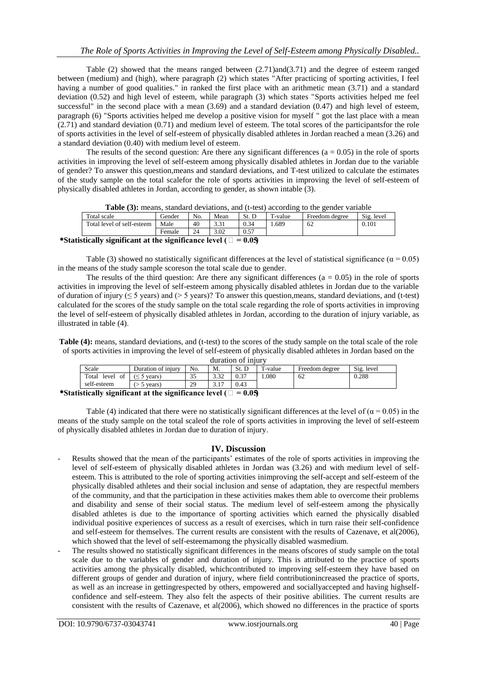Table (2) showed that the means ranged between (2.71)and(3.71) and the degree of esteem ranged between (medium) and (high), where paragraph (2) which states "After practicing of sporting activities, I feel having a number of good qualities." in ranked the first place with an arithmetic mean (3.71) and a standard deviation (0.52) and high level of esteem, while paragraph (3) which states "Sports activities helped me feel successful" in the second place with a mean (3.69) and a standard deviation (0.47) and high level of esteem, paragraph (6) "Sports activities helped me develop a positive vision for myself " got the last place with a mean (2.71) and standard deviation (0.71) and medium level of esteem. The total scores of the participantsfor the role of sports activities in the level of self-esteem of physically disabled athletes in Jordan reached a mean (3.26) and a standard deviation (0.40) with medium level of esteem.

The results of the second question: Are there any significant differences  $(a = 0.05)$  in the role of sports activities in improving the level of self-esteem among physically disabled athletes in Jordan due to the variable of gender? To answer this question,means and standard deviations, and T-test utilized to calculate the estimates of the study sample on the total scalefor the role of sports activities in improving the level of self-esteem of physically disabled athletes in Jordan, according to gender, as shown intable (3).

| <b>Table (3).</b> Incans. Standard deviations. and (t-test) according to the gender variable |               |     |      |       |         |                |            |
|----------------------------------------------------------------------------------------------|---------------|-----|------|-------|---------|----------------|------------|
| Total scale                                                                                  | <b>Gender</b> | No. | Mean | St. D | T-value | Freedom degree | Sig. level |
| Total level of self-esteem                                                                   | Male          | 40  | 3.31 | 0.34  | .689    | 62             | 0.101      |
|                                                                                              | Female        |     | 3.02 | 0.57  |         |                |            |
|                                                                                              |               |     |      |       |         |                |            |

**Table (3):** means, standard deviations, and (t-test) according to the gender variable

#### \*Statistically significant at the significance level  $( \Box = 0.05)$

Table (3) showed no statistically significant differences at the level of statistical significance ( $\alpha = 0.05$ ) in the means of the study sample scoreson the total scale due to gender.

The results of the third question: Are there any significant differences ( $a = 0.05$ ) in the role of sports activities in improving the level of self-esteem among physically disabled athletes in Jordan due to the variable of duration of injury ( $\leq 5$  years) and ( $> 5$  years)? To answer this question, means, standard deviations, and (t-test) calculated for the scores of the study sample on the total scale regarding the role of sports activities in improving the level of self-esteem of physically disabled athletes in Jordan, according to the duration of injury variable, as illustrated in table (4).

**Table (4):** means, standard deviations, and (t-test) to the scores of the study sample on the total scale of the role of sports activities in improving the level of self-esteem of physically disabled athletes in Jordan based on the duration of injury

| uuration of miurv                                                                        |                    |      |              |            |         |                |            |
|------------------------------------------------------------------------------------------|--------------------|------|--------------|------------|---------|----------------|------------|
| Scale                                                                                    | Duration of injury | No.  | M.           | c.<br>ست د | `-value | Freedom degree | Sig. level |
| Total<br>level<br>οt                                                                     | vears)             | ند ف | 22<br>ے د. د | 0.37       | .080    | 62             | 0.288      |
| self-esteem                                                                              | years)             | 29   | .            | 0.43       |         |                |            |
| $\bullet$<br><br>$\sim$ $\sim$ $\sim$<br>$\mathbf{u}$<br>$\cdot$ $\cdot$ $\cdot$ $\cdot$ |                    |      |              |            |         |                |            |

\*Statistically significant at the significance level  $( \Box = 0.05)$ 

Table (4) indicated that there were no statistically significant differences at the level of  $(\alpha = 0.05)$  in the means of the study sample on the total scaleof the role of sports activities in improving the level of self-esteem of physically disabled athletes in Jordan due to duration of injury.

# **IV. Discussion**

- Results showed that the mean of the participants' estimates of the role of sports activities in improving the level of self-esteem of physically disabled athletes in Jordan was (3.26) and with medium level of selfesteem. This is attributed to the role of sporting activities inimproving the self-accept and self-esteem of the physically disabled athletes and their social inclusion and sense of adaptation, they are respectful members of the community, and that the participation in these activities makes them able to overcome their problems and disability and sense of their social status. The medium level of self-esteem among the physically disabled athletes is due to the importance of sporting activities which earned the physically disabled individual positive experiences of success as a result of exercises, which in turn raise their self-confidence and self-esteem for themselves. The current results are consistent with the results of Cazenave, et al(2006), which showed that the level of self-esteemamong the physically disabled wasmedium.
- The results showed no statistically significant differences in the means of stores of study sample on the total scale due to the variables of gender and duration of injury. This is attributed to the practice of sports activities among the physically disabled, whichcontributed to improving self-esteem they have based on different groups of gender and duration of injury, where field contributionincreased the practice of sports, as well as an increase in gettingrespected by others, empowered and sociallyaccepted and having highselfconfidence and self-esteem. They also felt the aspects of their positive abilities. The current results are consistent with the results of Cazenave, et al(2006), which showed no differences in the practice of sports